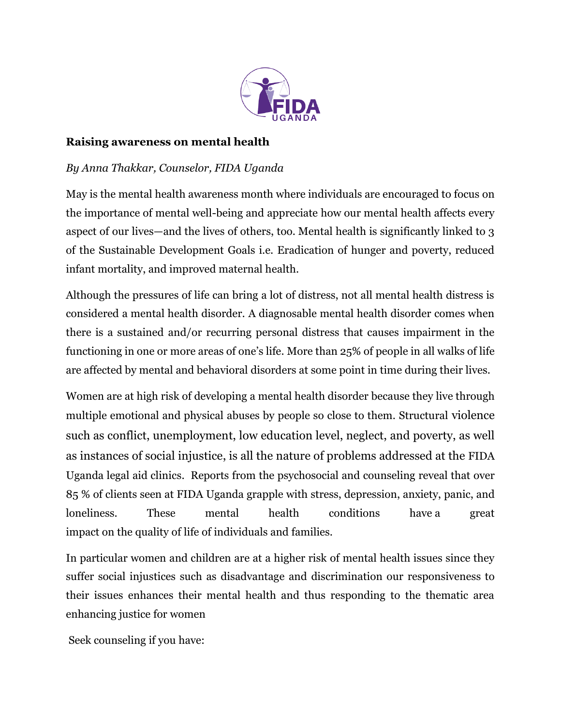

## **Raising awareness on mental health**

## *By Anna Thakkar, Counselor, FIDA Uganda*

May is the mental health awareness month where individuals are encouraged to focus on the importance of mental well-being and appreciate how our mental health affects every aspect of our lives—and the lives of others, too. Mental health is significantly linked to 3 of the Sustainable Development Goals i.e. Eradication of hunger and poverty, reduced infant mortality, and improved maternal health.

Although the pressures of life can bring a lot of distress, not all mental health distress is considered a mental health disorder. A diagnosable mental health disorder comes when there is a sustained and/or recurring personal distress that causes impairment in the functioning in one or more areas of one's life. More than 25% of people in all walks of life are affected by mental and behavioral disorders at some point in time during their lives.

Women are at high risk of developing a mental health disorder because they live through multiple emotional and physical abuses by people so close to them. Structural violence such as conflict, unemployment, low education level, neglect, and poverty, as well as instances of social injustice, is all the nature of problems addressed at the FIDA Uganda legal aid clinics. Reports from the psychosocial and counseling reveal that over 85 % of clients seen at FIDA Uganda grapple with stress, depression, anxiety, panic, and loneliness. These mental health conditions have a great impact on the quality of life of individuals and families.

In particular women and children are at a higher risk of mental health issues since they suffer social injustices such as disadvantage and discrimination our responsiveness to their issues enhances their mental health and thus responding to the thematic area enhancing justice for women

Seek counseling if you have: